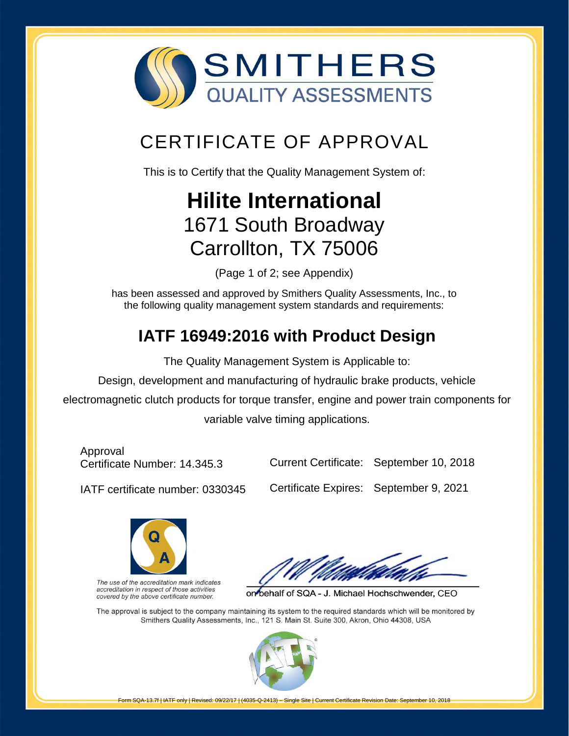

## [CERTIFICATE OF APPROVAL](http://www.smithersregistrar.com/)

This is to Certify that the Quality Management System of:

# **Hilite International** 1671 South Broadway Carrollton, TX 75006

(Page 1 of 2; see Appendix)

has been assessed and approved by Smithers Quality Assessments, Inc., to the following quality management system standards and requirements:

## **IATF 16949:2016 with Product Design**

The Quality Management System is Applicable to:

Design, development and manufacturing of hydraulic brake products, vehicle

electromagnetic clutch products for torque transfer, engine and power train components for

variable valve timing applications.

Approval Certificate Number: 14.345.3

Current Certificate: September 10, 2018

IATF certificate number: 0330345

Certificate Expires: September 9, 2021



The use of the accreditation mark indicates accreditation in respect of those activities covered by the above certificate number.

on behalf of SQA - J. Michael Hochschwender, CEO

The approval is subject to the company maintaining its system to the required standards which will be monitored by Smithers Quality Assessments, Inc., 121 S. Main St. Suite 300, Akron, Ohio 44308, USA